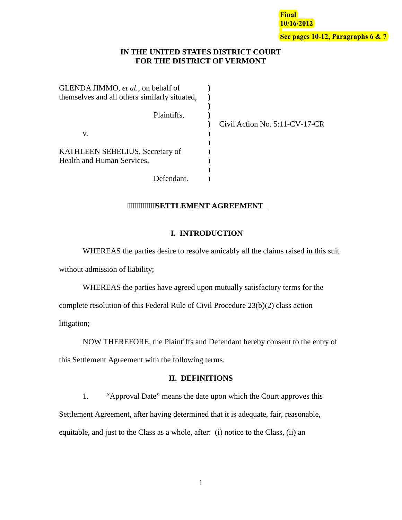**Final 10/16/2012 See pages 10-12, Paragraphs 6 & 7**

# **IN THE UNITED STATES DISTRICT COURT FOR THE DISTRICT OF VERMONT**

| GLENDA JIMMO, et al., on behalf of            |  |
|-----------------------------------------------|--|
| themselves and all others similarly situated, |  |
|                                               |  |
| Plaintiffs,                                   |  |
|                                               |  |
| V.                                            |  |
|                                               |  |
| KATHLEEN SEBELIUS, Secretary of               |  |
| <b>Health and Human Services,</b>             |  |
|                                               |  |
| Defendant.                                    |  |

Civil Action No. 5:11-CV-17-CR

# **WWWWWSETTLEMENT AGREEMENT**

# **I. INTRODUCTION**

WHEREAS the parties desire to resolve amicably all the claims raised in this suit without admission of liability;

 WHEREAS the parties have agreed upon mutually satisfactory terms for the complete resolution of this Federal Rule of Civil Procedure 23(b)(2) class action litigation;

NOW THEREFORE, the Plaintiffs and Defendant hereby consent to the entry of this Settlement Agreement with the following terms.

# **II. DEFINITIONS**

1. "Approval Date" means the date upon which the Court approves this Settlement Agreement, after having determined that it is adequate, fair, reasonable, equitable, and just to the Class as a whole, after: (i) notice to the Class, (ii) an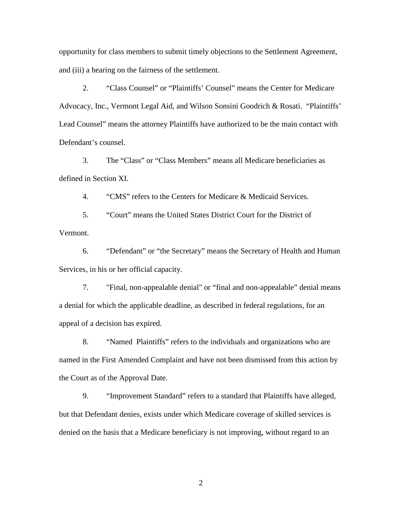opportunity for class members to submit timely objections to the Settlement Agreement, and (iii) a hearing on the fairness of the settlement.

2. "Class Counsel" or "Plaintiffs' Counsel" means the Center for Medicare Advocacy, Inc., Vermont Legal Aid, and Wilson Sonsini Goodrich & Rosati. "Plaintiffs' Lead Counsel" means the attorney Plaintiffs have authorized to be the main contact with Defendant's counsel.

3. The "Class" or "Class Members" means all Medicare beneficiaries as defined in Section [XI.](#page-23-0)

4. "CMS" refers to the Centers for Medicare & Medicaid Services.

5. "Court" means the United States District Court for the District of Vermont.

6. "Defendant" or "the Secretary" means the Secretary of Health and Human Services, in his or her official capacity.

7. "Final, non-appealable denial" or "final and non-appealable" denial means a denial for which the applicable deadline, as described in federal regulations, for an appeal of a decision has expired.

8. "Named Plaintiffs" refers to the individuals and organizations who are named in the First Amended Complaint and have not been dismissed from this action by the Court as of the Approval Date.

9. "Improvement Standard" refers to a standard that Plaintiffs have alleged, but that Defendant denies, exists under which Medicare coverage of skilled services is denied on the basis that a Medicare beneficiary is not improving, without regard to an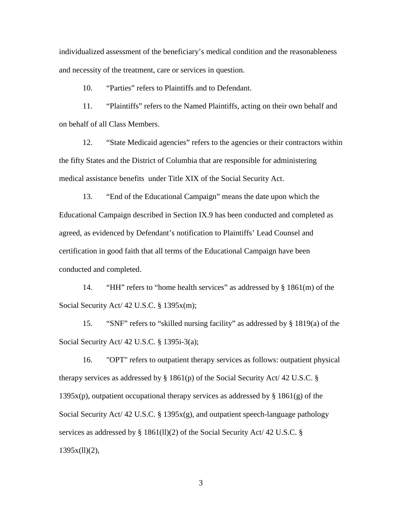individualized assessment of the beneficiary's medical condition and the reasonableness and necessity of the treatment, care or services in question.

10. "Parties" refers to Plaintiffs and to Defendant.

11. "Plaintiffs" refers to the Named Plaintiffs, acting on their own behalf and on behalf of all Class Members.

12. "State Medicaid agencies" refers to the agencies or their contractors within the fifty States and the District of Columbia that are responsible for administering medical assistance benefits under Title XIX of the Social Security Act.

13. "End of the Educational Campaign" means the date upon which the Educational Campaign described in Section [IX.](#page-7-0)[9](#page-13-0) has been conducted and completed as agreed, as evidenced by Defendant's notification to Plaintiffs' Lead Counsel and certification in good faith that all terms of the Educational Campaign have been conducted and completed.

14. "HH" refers to "home health services" as addressed by § 1861(m) of the Social Security Act/ 42 U.S.C. § 1395x(m);

15. "SNF" refers to "skilled nursing facility" as addressed by § 1819(a) of the Social Security Act/ 42 U.S.C. § 1395i-3(a);

16. "OPT" refers to outpatient therapy services as follows: outpatient physical therapy services as addressed by § 1861(p) of the Social Security Act/ 42 U.S.C. §  $1395x(p)$ , outpatient occupational therapy services as addressed by § 1861(g) of the Social Security Act/ 42 U.S.C. § 1395x(g), and outpatient speech-language pathology services as addressed by § 1861(ll)(2) of the Social Security Act/ 42 U.S.C. §  $1395x(11)(2)$ ,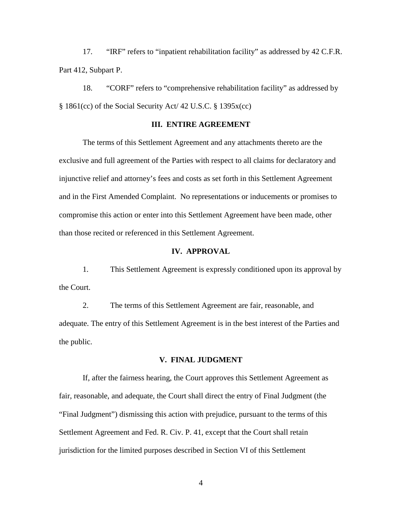17. "IRF" refers to "inpatient rehabilitation facility" as addressed by 42 C.F.R. Part 412, Subpart P.

18. "CORF" refers to "comprehensive rehabilitation facility" as addressed by § 1861(cc) of the Social Security Act/ 42 U.S.C. § 1395x(cc)

# **III. ENTIRE AGREEMENT**

The terms of this Settlement Agreement and any attachments thereto are the exclusive and full agreement of the Parties with respect to all claims for declaratory and injunctive relief and attorney's fees and costs as set forth in this Settlement Agreement and in the First Amended Complaint. No representations or inducements or promises to compromise this action or enter into this Settlement Agreement have been made, other than those recited or referenced in this Settlement Agreement.

## **IV. APPROVAL**

1. This Settlement Agreement is expressly conditioned upon its approval by the Court.

2. The terms of this Settlement Agreement are fair, reasonable, and adequate. The entry of this Settlement Agreement is in the best interest of the Parties and the public.

# **V. FINAL JUDGMENT**

If, after the fairness hearing, the Court approves this Settlement Agreement as fair, reasonable, and adequate, the Court shall direct the entry of Final Judgment (the "Final Judgment") dismissing this action with prejudice, pursuant to the terms of this Settlement Agreement and Fed. R. Civ. P. 41, except that the Court shall retain jurisdiction for the limited purposes described in Section [VI](#page-4-0) of this Settlement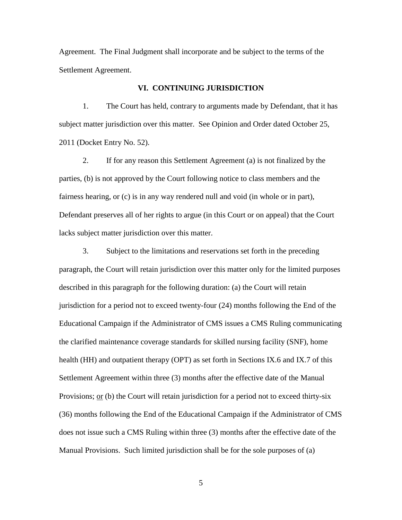Agreement. The Final Judgment shall incorporate and be subject to the terms of the Settlement Agreement.

### **VI. CONTINUING JURISDICTION**

<span id="page-4-0"></span> 1. The Court has held, contrary to arguments made by Defendant, that it has subject matter jurisdiction over this matter. See Opinion and Order dated October 25, 2011 (Docket Entry No. 52).

 2. If for any reason this Settlement Agreement (a) is not finalized by the parties, (b) is not approved by the Court following notice to class members and the fairness hearing, or (c) is in any way rendered null and void (in whole or in part), Defendant preserves all of her rights to argue (in this Court or on appeal) that the Court lacks subject matter jurisdiction over this matter.

 3. Subject to the limitations and reservations set forth in the preceding paragraph, the Court will retain jurisdiction over this matter only for the limited purposes described in this paragraph for the following duration: (a) the Court will retain jurisdiction for a period not to exceed twenty-four (24) months following the End of the Educational Campaign if the Administrator of CMS issues a CMS Ruling communicating the clarified maintenance coverage standards for skilled nursing facility (SNF), home health (HH) and outpatient therapy (OPT) as set forth in Sections IX.6 and IX.7 of this Settlement Agreement within three (3) months after the effective date of the Manual Provisions; or (b) the Court will retain jurisdiction for a period not to exceed thirty-six (36) months following the End of the Educational Campaign if the Administrator of CMS does not issue such a CMS Ruling within three (3) months after the effective date of the Manual Provisions. Such limited jurisdiction shall be for the sole purposes of (a)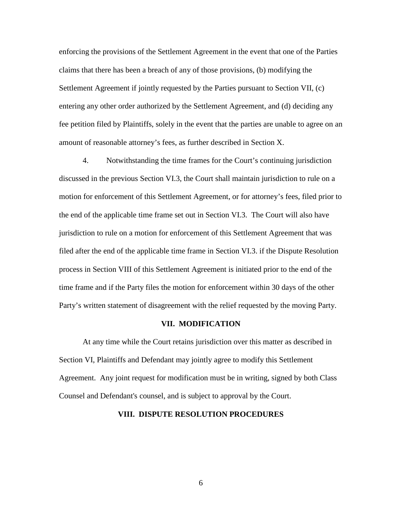enforcing the provisions of the Settlement Agreement in the event that one of the Parties claims that there has been a breach of any of those provisions, (b) modifying the Settlement Agreement if jointly requested by the Parties pursuant to Section [VII,](#page-5-0) (c) entering any other order authorized by the Settlement Agreement, and (d) deciding any fee petition filed by Plaintiffs, solely in the event that the parties are unable to agree on an amount of reasonable attorney's fees, as further described in Section [X.](#page-22-0)

 4. Notwithstanding the time frames for the Court's continuing jurisdiction discussed in the previous Section [VI.](#page-4-0)3, the Court shall maintain jurisdiction to rule on a motion for enforcement of this Settlement Agreement, or for attorney's fees, filed prior to the end of the applicable time frame set out in Section VI.3. The Court will also have jurisdiction to rule on a motion for enforcement of this Settlement Agreement that was filed after the end of the applicable time frame in Section VI.3. if the Dispute Resolution process in Section VIII of this Settlement Agreement is initiated prior to the end of the time frame and if the Party files the motion for enforcement within 30 days of the other Party's written statement of disagreement with the relief requested by the moving Party.

### **VII. MODIFICATION**

<span id="page-5-0"></span>At any time while the Court retains jurisdiction over this matter as described in Section [VI,](#page-4-0) Plaintiffs and Defendant may jointly agree to modify this Settlement Agreement. Any joint request for modification must be in writing, signed by both Class Counsel and Defendant's counsel, and is subject to approval by the Court.

#### **VIII. DISPUTE RESOLUTION PROCEDURES**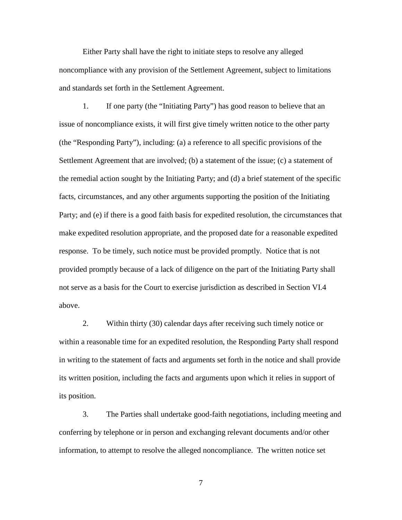Either Party shall have the right to initiate steps to resolve any alleged noncompliance with any provision of the Settlement Agreement, subject to limitations and standards set forth in the Settlement Agreement.

1. If one party (the "Initiating Party") has good reason to believe that an issue of noncompliance exists, it will first give timely written notice to the other party (the "Responding Party"), including: (a) a reference to all specific provisions of the Settlement Agreement that are involved; (b) a statement of the issue; (c) a statement of the remedial action sought by the Initiating Party; and (d) a brief statement of the specific facts, circumstances, and any other arguments supporting the position of the Initiating Party; and (e) if there is a good faith basis for expedited resolution, the circumstances that make expedited resolution appropriate, and the proposed date for a reasonable expedited response. To be timely, such notice must be provided promptly. Notice that is not provided promptly because of a lack of diligence on the part of the Initiating Party shall not serve as a basis for the Court to exercise jurisdiction as described in Section [VI.](#page-4-0)4 above.

2. Within thirty (30) calendar days after receiving such timely notice or within a reasonable time for an expedited resolution, the Responding Party shall respond in writing to the statement of facts and arguments set forth in the notice and shall provide its written position, including the facts and arguments upon which it relies in support of its position.

3. The Parties shall undertake good-faith negotiations, including meeting and conferring by telephone or in person and exchanging relevant documents and/or other information, to attempt to resolve the alleged noncompliance. The written notice set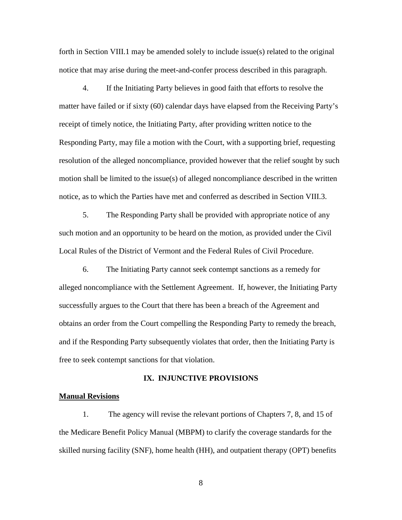forth in Section VIII.1 may be amended solely to include issue(s) related to the original notice that may arise during the meet-and-confer process described in this paragraph.

4. If the Initiating Party believes in good faith that efforts to resolve the matter have failed or if sixty (60) calendar days have elapsed from the Receiving Party's receipt of timely notice, the Initiating Party, after providing written notice to the Responding Party, may file a motion with the Court, with a supporting brief, requesting resolution of the alleged noncompliance, provided however that the relief sought by such motion shall be limited to the issue(s) of alleged noncompliance described in the written notice, as to which the Parties have met and conferred as described in Section VIII.3.

5. The Responding Party shall be provided with appropriate notice of any such motion and an opportunity to be heard on the motion, as provided under the Civil Local Rules of the District of Vermont and the Federal Rules of Civil Procedure.

6. The Initiating Party cannot seek contempt sanctions as a remedy for alleged noncompliance with the Settlement Agreement. If, however, the Initiating Party successfully argues to the Court that there has been a breach of the Agreement and obtains an order from the Court compelling the Responding Party to remedy the breach, and if the Responding Party subsequently violates that order, then the Initiating Party is free to seek contempt sanctions for that violation.

### **IX. INJUNCTIVE PROVISIONS**

### <span id="page-7-0"></span>**Manual Revisions**

1. The agency will revise the relevant portions of Chapters 7, 8, and 15 of the Medicare Benefit Policy Manual (MBPM) to clarify the coverage standards for the skilled nursing facility (SNF), home health (HH), and outpatient therapy (OPT) benefits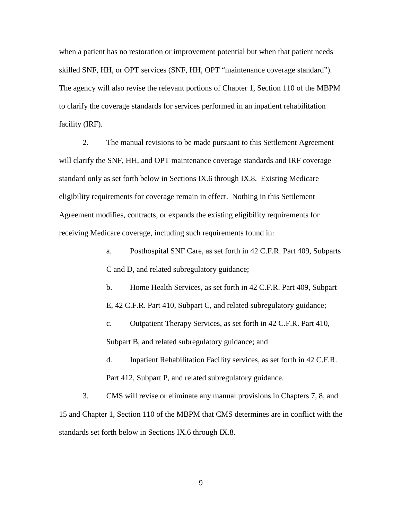when a patient has no restoration or improvement potential but when that patient needs skilled SNF, HH, or OPT services (SNF, HH, OPT "maintenance coverage standard"). The agency will also revise the relevant portions of Chapter 1, Section 110 of the MBPM to clarify the coverage standards for services performed in an inpatient rehabilitation facility (IRF).

2. The manual revisions to be made pursuant to this Settlement Agreement will clarify the SNF, HH, and OPT maintenance coverage standards and IRF coverage standard only as set forth below in Sections IX[.6](#page-9-0) through IX[.8.](#page-13-1) Existing Medicare eligibility requirements for coverage remain in effect. Nothing in this Settlement Agreement modifies, contracts, or expands the existing eligibility requirements for receiving Medicare coverage, including such requirements found in:

> a. Posthospital SNF Care, as set forth in 42 C.F.R. Part 409, Subparts C and D, and related subregulatory guidance;

b. Home Health Services, as set forth in 42 C.F.R. Part 409, Subpart E, 42 C.F.R. Part 410, Subpart C, and related subregulatory guidance;

c. Outpatient Therapy Services, as set forth in 42 C.F.R. Part 410, Subpart B, and related subregulatory guidance; and

d. Inpatient Rehabilitation Facility services, as set forth in 42 C.F.R. Part 412, Subpart P, and related subregulatory guidance.

3. CMS will revise or eliminate any manual provisions in Chapters 7, 8, and 15 and Chapter 1, Section 110 of the MBPM that CMS determines are in conflict with the standards set forth below in Sections IX[.6](#page-9-0) through IX[.8.](#page-13-1)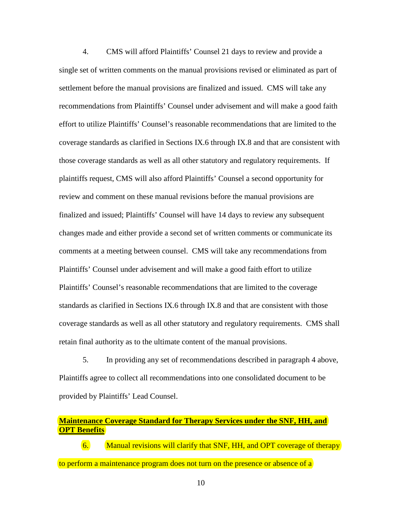<span id="page-9-1"></span>4. CMS will afford Plaintiffs' Counsel 21 days to review and provide a single set of written comments on the manual provisions revised or eliminated as part of settlement before the manual provisions are finalized and issued. CMS will take any recommendations from Plaintiffs' Counsel under advisement and will make a good faith effort to utilize Plaintiffs' Counsel's reasonable recommendations that are limited to the coverage standards as clarified in Sections IX[.6](#page-9-0) through IX[.8](#page-13-1) and that are consistent with those coverage standards as well as all other statutory and regulatory requirements. If plaintiffs request, CMS will also afford Plaintiffs' Counsel a second opportunity for review and comment on these manual revisions before the manual provisions are finalized and issued; Plaintiffs' Counsel will have 14 days to review any subsequent changes made and either provide a second set of written comments or communicate its comments at a meeting between counsel. CMS will take any recommendations from Plaintiffs' Counsel under advisement and will make a good faith effort to utilize Plaintiffs' Counsel's reasonable recommendations that are limited to the coverage standards as clarified in Sections IX[.6](#page-9-0) through IX[.8](#page-13-1) and that are consistent with those coverage standards as well as all other statutory and regulatory requirements. CMS shall retain final authority as to the ultimate content of the manual provisions.

5. In providing any set of recommendations described in paragraph [4](#page-9-1) above, Plaintiffs agree to collect all recommendations into one consolidated document to be provided by Plaintiffs' Lead Counsel.

# **Maintenance Coverage Standard for Therapy Services under the SNF, HH, and OPT Benefits**

<span id="page-9-0"></span>6. Manual revisions will clarify that SNF, HH, and OPT coverage of therapy to perform a maintenance program does not turn on the presence or absence of a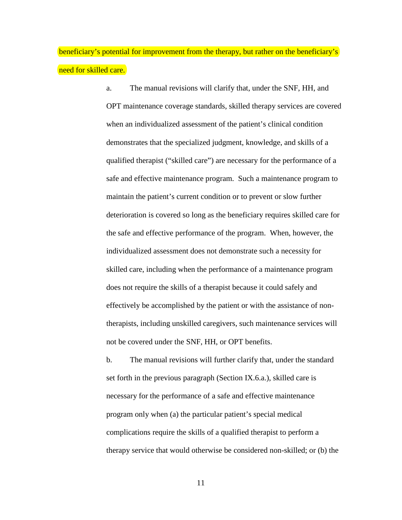beneficiary's potential for improvement from the therapy, but rather on the beneficiary's need for skilled care.

> a. The manual revisions will clarify that, under the SNF, HH, and OPT maintenance coverage standards, skilled therapy services are covered when an individualized assessment of the patient's clinical condition demonstrates that the specialized judgment, knowledge, and skills of a qualified therapist ("skilled care") are necessary for the performance of a safe and effective maintenance program. Such a maintenance program to maintain the patient's current condition or to prevent or slow further deterioration is covered so long as the beneficiary requires skilled care for the safe and effective performance of the program. When, however, the individualized assessment does not demonstrate such a necessity for skilled care, including when the performance of a maintenance program does not require the skills of a therapist because it could safely and effectively be accomplished by the patient or with the assistance of nontherapists, including unskilled caregivers, such maintenance services will not be covered under the SNF, HH, or OPT benefits.

b. The manual revisions will further clarify that, under the standard set forth in the previous paragraph (Section IX.6.a.), skilled care is necessary for the performance of a safe and effective maintenance program only when (a) the particular patient's special medical complications require the skills of a qualified therapist to perform a therapy service that would otherwise be considered non-skilled; or (b) the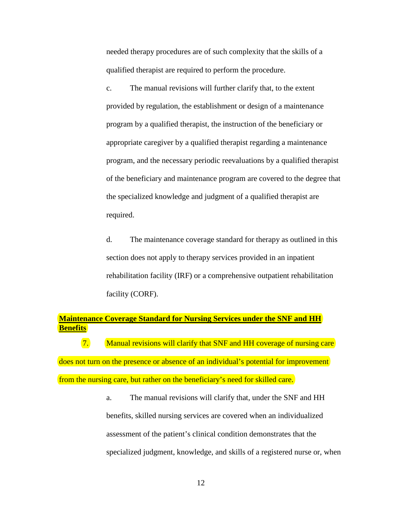needed therapy procedures are of such complexity that the skills of a qualified therapist are required to perform the procedure.

c. The manual revisions will further clarify that, to the extent provided by regulation, the establishment or design of a maintenance program by a qualified therapist, the instruction of the beneficiary or appropriate caregiver by a qualified therapist regarding a maintenance program, and the necessary periodic reevaluations by a qualified therapist of the beneficiary and maintenance program are covered to the degree that the specialized knowledge and judgment of a qualified therapist are required.

d. The maintenance coverage standard for therapy as outlined in this section does not apply to therapy services provided in an inpatient rehabilitation facility (IRF) or a comprehensive outpatient rehabilitation facility (CORF).

# **Maintenance Coverage Standard for Nursing Services under the SNF and HH Benefits**

<span id="page-11-0"></span>7. Manual revisions will clarify that SNF and HH coverage of nursing care does not turn on the presence or absence of an individual's potential for improvement from the nursing care, but rather on the beneficiary's need for skilled care.

> a. The manual revisions will clarify that, under the SNF and HH benefits, skilled nursing services are covered when an individualized assessment of the patient's clinical condition demonstrates that the specialized judgment, knowledge, and skills of a registered nurse or, when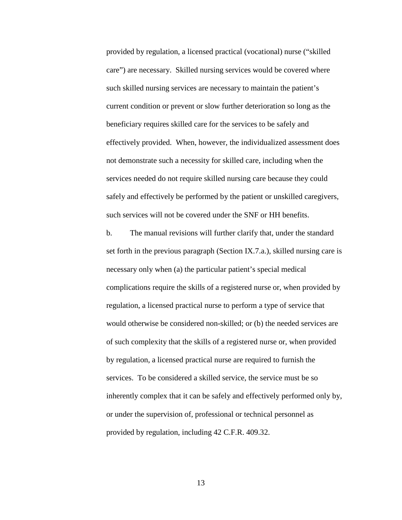provided by regulation, a licensed practical (vocational) nurse ("skilled care") are necessary. Skilled nursing services would be covered where such skilled nursing services are necessary to maintain the patient's current condition or prevent or slow further deterioration so long as the beneficiary requires skilled care for the services to be safely and effectively provided. When, however, the individualized assessment does not demonstrate such a necessity for skilled care, including when the services needed do not require skilled nursing care because they could safely and effectively be performed by the patient or unskilled caregivers, such services will not be covered under the SNF or HH benefits.

b. The manual revisions will further clarify that, under the standard set forth in the previous paragraph (Section IX.7.a.), skilled nursing care is necessary only when (a) the particular patient's special medical complications require the skills of a registered nurse or, when provided by regulation, a licensed practical nurse to perform a type of service that would otherwise be considered non-skilled; or (b) the needed services are of such complexity that the skills of a registered nurse or, when provided by regulation, a licensed practical nurse are required to furnish the services. To be considered a skilled service, the service must be so inherently complex that it can be safely and effectively performed only by, or under the supervision of, professional or technical personnel as provided by regulation, including 42 C.F.R. 409.32.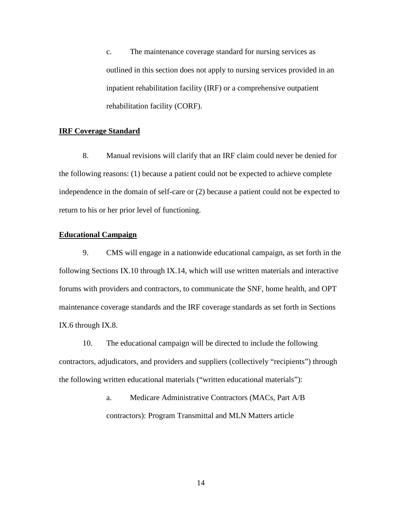c. The maintenance coverage standard for nursing services as outlined in this section does not apply to nursing services provided in an inpatient rehabilitation facility (IRF) or a comprehensive outpatient rehabilitation facility (CORF).

# <span id="page-13-1"></span>**IRF Coverage Standard**

8. Manual revisions will clarify that an IRF claim could never be denied for the following reasons: (1) because a patient could not be expected to achieve complete independence in the domain of self-care or (2) because a patient could not be expected to return to his or her prior level of functioning.

# **Educational Campaign**

<span id="page-13-0"></span>9. CMS will engage in a nationwide educational campaign, as set forth in the following Sections [IX.](#page-7-0)[10](#page-13-2) through [IX.](#page-7-0)[14,](#page-16-0) which will use written materials and interactive forums with providers and contractors, to communicate the SNF, home health, and OPT maintenance coverage standards and the IRF coverage standards as set forth in Sections IX[.6](#page-9-0) through IX[.8.](#page-13-1)

<span id="page-13-2"></span>10. The educational campaign will be directed to include the following contractors, adjudicators, and providers and suppliers (collectively "recipients") through the following written educational materials ("written educational materials"):

> a. Medicare Administrative Contractors (MACs, Part A/B contractors): Program Transmittal and MLN Matters article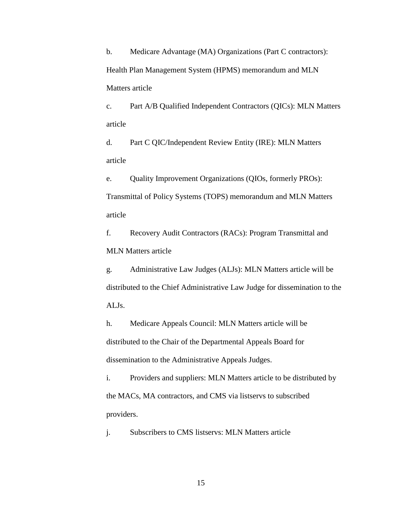b. Medicare Advantage (MA) Organizations (Part C contractors): Health Plan Management System (HPMS) memorandum and MLN Matters article

c. Part A/B Qualified Independent Contractors (QICs): MLN Matters article

d. Part C QIC/Independent Review Entity (IRE): MLN Matters article

e. Quality Improvement Organizations (QIOs, formerly PROs): Transmittal of Policy Systems (TOPS) memorandum and MLN Matters article

f. Recovery Audit Contractors (RACs): Program Transmittal and MLN Matters article

g. Administrative Law Judges (ALJs): MLN Matters article will be distributed to the Chief Administrative Law Judge for dissemination to the ALJs.

h. Medicare Appeals Council: MLN Matters article will be distributed to the Chair of the Departmental Appeals Board for dissemination to the Administrative Appeals Judges.

i. Providers and suppliers: MLN Matters article to be distributed by the MACs, MA contractors, and CMS via listservs to subscribed providers.

j. Subscribers to CMS listservs: MLN Matters article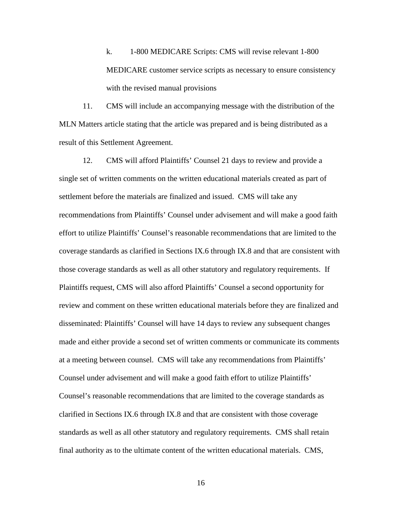k. 1-800 MEDICARE Scripts: CMS will revise relevant 1-800 MEDICARE customer service scripts as necessary to ensure consistency with the revised manual provisions

11. CMS will include an accompanying message with the distribution of the MLN Matters article stating that the article was prepared and is being distributed as a result of this Settlement Agreement.

<span id="page-15-0"></span>12. CMS will afford Plaintiffs' Counsel 21 days to review and provide a single set of written comments on the written educational materials created as part of settlement before the materials are finalized and issued. CMS will take any recommendations from Plaintiffs' Counsel under advisement and will make a good faith effort to utilize Plaintiffs' Counsel's reasonable recommendations that are limited to the coverage standards as clarified in Sections IX[.6](#page-9-0) through IX[.8](#page-13-1) and that are consistent with those coverage standards as well as all other statutory and regulatory requirements. If Plaintiffs request, CMS will also afford Plaintiffs' Counsel a second opportunity for review and comment on these written educational materials before they are finalized and disseminated: Plaintiffs' Counsel will have 14 days to review any subsequent changes made and either provide a second set of written comments or communicate its comments at a meeting between counsel. CMS will take any recommendations from Plaintiffs' Counsel under advisement and will make a good faith effort to utilize Plaintiffs' Counsel's reasonable recommendations that are limited to the coverage standards as clarified in Sections IX[.6](#page-9-0) through IX[.8](#page-13-1) and that are consistent with those coverage standards as well as all other statutory and regulatory requirements. CMS shall retain final authority as to the ultimate content of the written educational materials. CMS,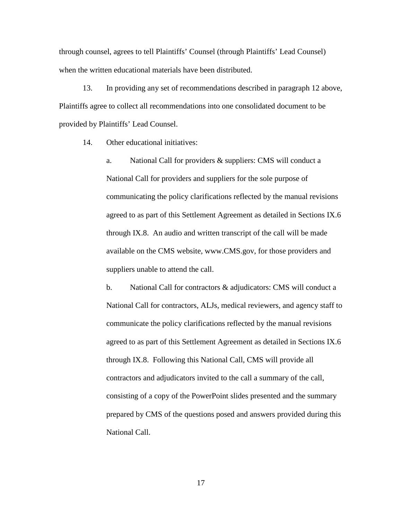through counsel, agrees to tell Plaintiffs' Counsel (through Plaintiffs' Lead Counsel) when the written educational materials have been distributed.

13. In providing any set of recommendations described in paragraph [12](#page-15-0) above, Plaintiffs agree to collect all recommendations into one consolidated document to be provided by Plaintiffs' Lead Counsel.

<span id="page-16-0"></span>14. Other educational initiatives:

a. National Call for providers & suppliers: CMS will conduct a National Call for providers and suppliers for the sole purpose of communicating the policy clarifications reflected by the manual revisions agreed to as part of this Settlement Agreement as detailed in Sections IX.6 through IX.8. An audio and written transcript of the call will be made available on the CMS website, www.CMS.gov, for those providers and suppliers unable to attend the call.

<span id="page-16-1"></span>b. National Call for contractors & adjudicators: CMS will conduct a National Call for contractors, ALJs, medical reviewers, and agency staff to communicate the policy clarifications reflected by the manual revisions agreed to as part of this Settlement Agreement as detailed in Sections IX.6 through IX.8. Following this National Call, CMS will provide all contractors and adjudicators invited to the call a summary of the call, consisting of a copy of the PowerPoint slides presented and the summary prepared by CMS of the questions posed and answers provided during this National Call.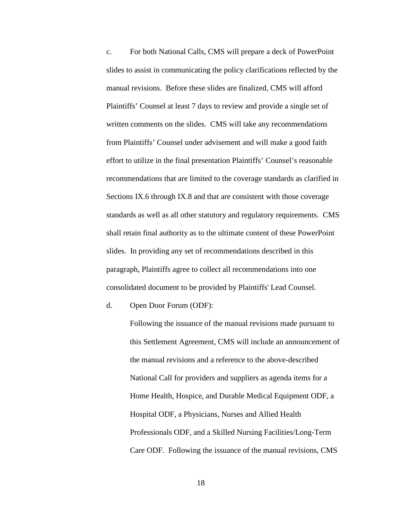<span id="page-17-0"></span>c. For both National Calls, CMS will prepare a deck of PowerPoint slides to assist in communicating the policy clarifications reflected by the manual revisions. Before these slides are finalized, CMS will afford Plaintiffs' Counsel at least 7 days to review and provide a single set of written comments on the slides. CMS will take any recommendations from Plaintiffs' Counsel under advisement and will make a good faith effort to utilize in the final presentation Plaintiffs' Counsel's reasonable recommendations that are limited to the coverage standards as clarified in Sections IX[.6](#page-9-0) through IX[.8](#page-13-1) and that are consistent with those coverage standards as well as all other statutory and regulatory requirements. CMS shall retain final authority as to the ultimate content of these PowerPoint slides. In providing any set of recommendations described in this paragraph, Plaintiffs agree to collect all recommendations into one consolidated document to be provided by Plaintiffs' Lead Counsel.

d. Open Door Forum (ODF):

Following the issuance of the manual revisions made pursuant to this Settlement Agreement, CMS will include an announcement of the manual revisions and a reference to the above-described National Call for providers and suppliers as agenda items for a Home Health, Hospice, and Durable Medical Equipment ODF, a Hospital ODF, a Physicians, Nurses and Allied Health Professionals ODF, and a Skilled Nursing Facilities/Long-Term Care ODF. Following the issuance of the manual revisions, CMS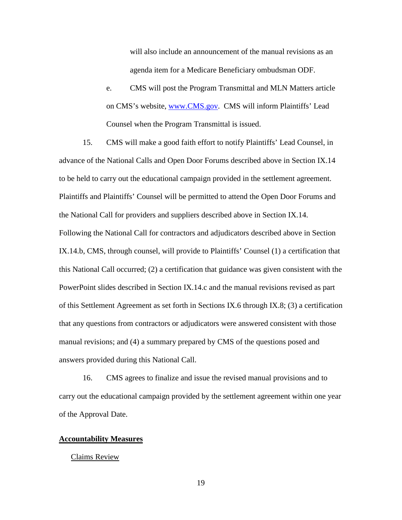will also include an announcement of the manual revisions as an agenda item for a Medicare Beneficiary ombudsman ODF.

e. CMS will post the Program Transmittal and MLN Matters article on CMS's website, [www.CMS.gov.](http://www.cms.gov/) CMS will inform Plaintiffs' Lead Counsel when the Program Transmittal is issued.

15. CMS will make a good faith effort to notify Plaintiffs' Lead Counsel, in advance of the National Calls and Open Door Forums described above in Section IX[.14](#page-16-0) to be held to carry out the educational campaign provided in the settlement agreement. Plaintiffs and Plaintiffs' Counsel will be permitted to attend the Open Door Forums and the National Call for providers and suppliers described above in Section [IX](#page-7-0)[.14.](#page-16-0) Following the National Call for contractors and adjudicators described above in Section [IX](#page-7-0)[.14.b,](#page-16-1) CMS, through counsel, will provide to Plaintiffs' Counsel (1) a certification that this National Call occurred; (2) a certification that guidance was given consistent with the PowerPoint slides described in Section [IX.](#page-7-0)[14.c](#page-17-0) and the manual revisions revised as part of this Settlement Agreement as set forth in Sections IX.6 through IX.8; (3) a certification that any questions from contractors or adjudicators were answered consistent with those manual revisions; and (4) a summary prepared by CMS of the questions posed and answers provided during this National Call.

16. CMS agrees to finalize and issue the revised manual provisions and to carry out the educational campaign provided by the settlement agreement within one year of the Approval Date.

# **Accountability Measures**

# Claims Review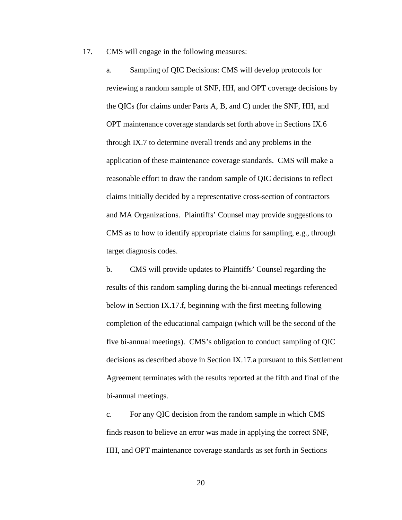<span id="page-19-0"></span>17. CMS will engage in the following measures:

a. Sampling of QIC Decisions: CMS will develop protocols for reviewing a random sample of SNF, HH, and OPT coverage decisions by the QICs (for claims under Parts A, B, and C) under the SNF, HH, and OPT maintenance coverage standards set forth above in Sections IX[.6](#page-9-0) through IX[.7](#page-11-0) to determine overall trends and any problems in the application of these maintenance coverage standards. CMS will make a reasonable effort to draw the random sample of QIC decisions to reflect claims initially decided by a representative cross-section of contractors and MA Organizations. Plaintiffs' Counsel may provide suggestions to CMS as to how to identify appropriate claims for sampling, e.g., through target diagnosis codes.

b. CMS will provide updates to Plaintiffs' Counsel regarding the results of this random sampling during the bi-annual meetings referenced below in Section IX.17.f, beginning with the first meeting following completion of the educational campaign (which will be the second of the five bi-annual meetings). CMS's obligation to conduct sampling of QIC decisions as described above in Section IX.17[.a](#page-19-0) pursuant to this Settlement Agreement terminates with the results reported at the fifth and final of the bi-annual meetings.

c. For any QIC decision from the random sample in which CMS finds reason to believe an error was made in applying the correct SNF, HH, and OPT maintenance coverage standards as set forth in Sections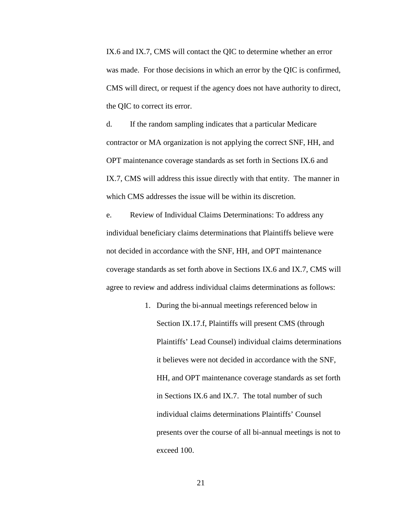IX.6 and IX.7, CMS will contact the QIC to determine whether an error was made. For those decisions in which an error by the QIC is confirmed, CMS will direct, or request if the agency does not have authority to direct, the QIC to correct its error.

d. If the random sampling indicates that a particular Medicare contractor or MA organization is not applying the correct SNF, HH, and OPT maintenance coverage standards as set forth in Sections IX.6 and IX.7, CMS will address this issue directly with that entity. The manner in which CMS addresses the issue will be within its discretion.

<span id="page-20-0"></span>e. Review of Individual Claims Determinations: To address any individual beneficiary claims determinations that Plaintiffs believe were not decided in accordance with the SNF, HH, and OPT maintenance coverage standards as set forth above in Sections IX[.6](#page-9-0) and IX[.7,](#page-11-0) CMS will agree to review and address individual claims determinations as follows:

> 1. During the bi-annual meetings referenced below in Section IX.17.f, Plaintiffs will present CMS (through Plaintiffs' Lead Counsel) individual claims determinations it believes were not decided in accordance with the SNF, HH, and OPT maintenance coverage standards as set forth in Sections IX.6 and IX.7. The total number of such individual claims determinations Plaintiffs' Counsel presents over the course of all bi-annual meetings is not to exceed 100.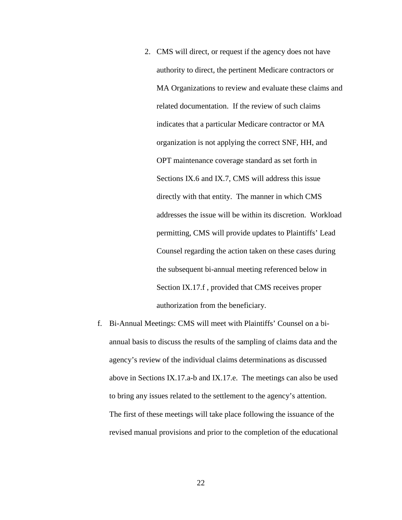- 2. CMS will direct, or request if the agency does not have authority to direct, the pertinent Medicare contractors or MA Organizations to review and evaluate these claims and related documentation. If the review of such claims indicates that a particular Medicare contractor or MA organization is not applying the correct SNF, HH, and OPT maintenance coverage standard as set forth in Sections IX.6 and IX.7, CMS will address this issue directly with that entity. The manner in which CMS addresses the issue will be within its discretion. Workload permitting, CMS will provide updates to Plaintiffs' Lead Counsel regarding the action taken on these cases during the subsequent bi-annual meeting referenced below in Section IX.17[.f](#page-21-0) , provided that CMS receives proper authorization from the beneficiary.
- <span id="page-21-0"></span>f. Bi-Annual Meetings: CMS will meet with Plaintiffs' Counsel on a biannual basis to discuss the results of the sampling of claims data and the agency's review of the individual claims determinations as discussed above in Sections IX.17[.a-](#page-19-0)b and IX.17[.e.](#page-20-0) The meetings can also be used to bring any issues related to the settlement to the agency's attention. The first of these meetings will take place following the issuance of the revised manual provisions and prior to the completion of the educational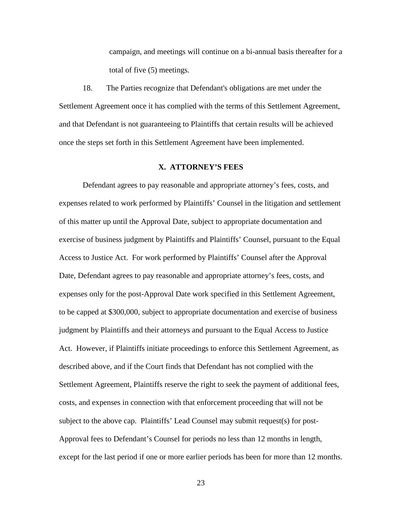campaign, and meetings will continue on a bi-annual basis thereafter for a total of five (5) meetings.

18. The Parties recognize that Defendant's obligations are met under the Settlement Agreement once it has complied with the terms of this Settlement Agreement, and that Defendant is not guaranteeing to Plaintiffs that certain results will be achieved once the steps set forth in this Settlement Agreement have been implemented.

### **X. ATTORNEY'S FEES**

<span id="page-22-0"></span>Defendant agrees to pay reasonable and appropriate attorney's fees, costs, and expenses related to work performed by Plaintiffs' Counsel in the litigation and settlement of this matter up until the Approval Date, subject to appropriate documentation and exercise of business judgment by Plaintiffs and Plaintiffs' Counsel, pursuant to the Equal Access to Justice Act. For work performed by Plaintiffs' Counsel after the Approval Date, Defendant agrees to pay reasonable and appropriate attorney's fees, costs, and expenses only for the post-Approval Date work specified in this Settlement Agreement, to be capped at \$300,000, subject to appropriate documentation and exercise of business judgment by Plaintiffs and their attorneys and pursuant to the Equal Access to Justice Act. However, if Plaintiffs initiate proceedings to enforce this Settlement Agreement, as described above, and if the Court finds that Defendant has not complied with the Settlement Agreement, Plaintiffs reserve the right to seek the payment of additional fees, costs, and expenses in connection with that enforcement proceeding that will not be subject to the above cap. Plaintiffs' Lead Counsel may submit request(s) for post-Approval fees to Defendant's Counsel for periods no less than 12 months in length, except for the last period if one or more earlier periods has been for more than 12 months.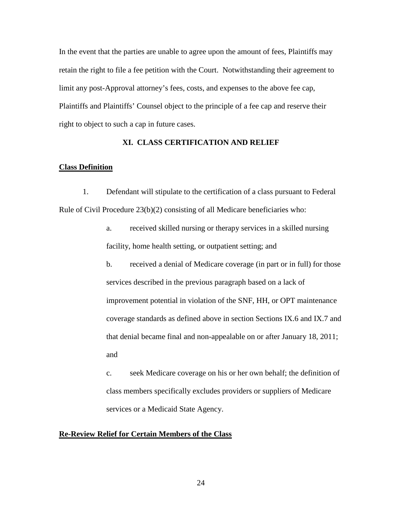In the event that the parties are unable to agree upon the amount of fees, Plaintiffs may retain the right to file a fee petition with the Court. Notwithstanding their agreement to limit any post-Approval attorney's fees, costs, and expenses to the above fee cap, Plaintiffs and Plaintiffs' Counsel object to the principle of a fee cap and reserve their right to object to such a cap in future cases.

# **XI. CLASS CERTIFICATION AND RELIEF**

## <span id="page-23-0"></span>**Class Definition**

<span id="page-23-2"></span>1. Defendant will stipulate to the certification of a class pursuant to Federal Rule of Civil Procedure  $23(b)(2)$  consisting of all Medicare beneficiaries who:

- a. received skilled nursing or therapy services in a skilled nursing facility, home health setting, or outpatient setting; and
- <span id="page-23-1"></span>b. received a denial of Medicare coverage (in part or in full) for those services described in the previous paragraph based on a lack of improvement potential in violation of the SNF, HH, or OPT maintenance coverage standards as defined above in section Sections IX[.6](#page-9-0) and IX[.7](#page-11-0) and that denial became final and non-appealable on or after January 18, 2011; and

c. seek Medicare coverage on his or her own behalf; the definition of class members specifically excludes providers or suppliers of Medicare services or a Medicaid State Agency.

# **Re-Review Relief for Certain Members of the Class**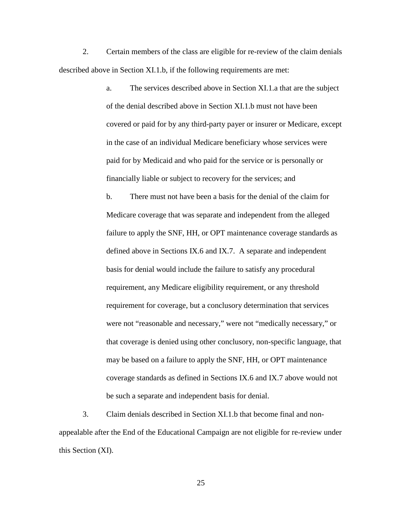2. Certain members of the class are eligible for re-review of the claim denials described above in Section XI[.1.b,](#page-23-1) if the following requirements are met:

> a. The services described above in Section XI[.1.a](#page-23-2) that are the subject of the denial described above in Section XI[.1.b](#page-23-1) must not have been covered or paid for by any third-party payer or insurer or Medicare, except in the case of an individual Medicare beneficiary whose services were paid for by Medicaid and who paid for the service or is personally or financially liable or subject to recovery for the services; and

b. There must not have been a basis for the denial of the claim for Medicare coverage that was separate and independent from the alleged failure to apply the SNF, HH, or OPT maintenance coverage standards as defined above in Sections IX[.6](#page-9-0) and IX[.7.](#page-11-0) A separate and independent basis for denial would include the failure to satisfy any procedural requirement, any Medicare eligibility requirement, or any threshold requirement for coverage, but a conclusory determination that services were not "reasonable and necessary," were not "medically necessary," or that coverage is denied using other conclusory, non-specific language, that may be based on a failure to apply the SNF, HH, or OPT maintenance coverage standards as defined in Sections IX.6 and IX.7 above would not be such a separate and independent basis for denial.

3. Claim denials described in Section XI.1.b that become final and nonappealable after the End of the Educational Campaign are not eligible for re-review under this Section (XI).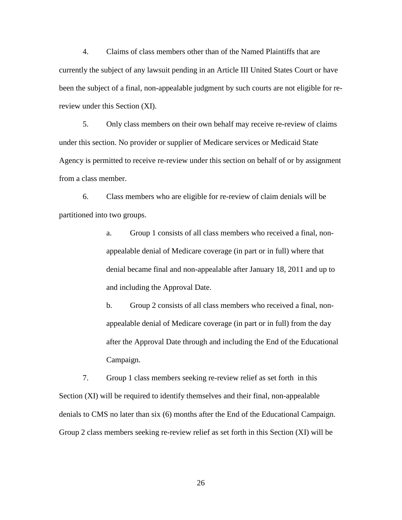<span id="page-25-0"></span>4. Claims of class members other than of the Named Plaintiffs that are currently the subject of any lawsuit pending in an Article III United States Court or have been the subject of a final, non-appealable judgment by such courts are not eligible for rereview under this Section (XI).

<span id="page-25-1"></span>5. Only class members on their own behalf may receive re-review of claims under this section. No provider or supplier of Medicare services or Medicaid State Agency is permitted to receive re-review under this section on behalf of or by assignment from a class member.

6. Class members who are eligible for re-review of claim denials will be partitioned into two groups.

> a. Group 1 consists of all class members who received a final, nonappealable denial of Medicare coverage (in part or in full) where that denial became final and non-appealable after January 18, 2011 and up to and including the Approval Date.

b. Group 2 consists of all class members who received a final, nonappealable denial of Medicare coverage (in part or in full) from the day after the Approval Date through and including the End of the Educational Campaign.

<span id="page-25-2"></span>7. Group 1 class members seeking re-review relief as set forth in this Section (XI) will be required to identify themselves and their final, non-appealable denials to CMS no later than six (6) months after the End of the Educational Campaign. Group 2 class members seeking re-review relief as set forth in this Section (XI) will be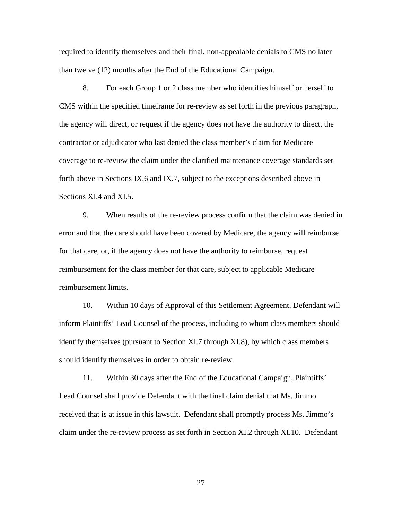required to identify themselves and their final, non-appealable denials to CMS no later than twelve (12) months after the End of the Educational Campaign.

<span id="page-26-0"></span>8. For each Group 1 or 2 class member who identifies himself or herself to CMS within the specified timeframe for re-review as set forth in the previous paragraph, the agency will direct, or request if the agency does not have the authority to direct, the contractor or adjudicator who last denied the class member's claim for Medicare coverage to re-review the claim under the clarified maintenance coverage standards set forth above in Sections IX[.6](#page-9-0) and IX.7, subject to the exceptions described above in Sections XI[.4](#page-25-0) and XI[.5.](#page-25-1)

9. When results of the re-review process confirm that the claim was denied in error and that the care should have been covered by Medicare, the agency will reimburse for that care, or, if the agency does not have the authority to reimburse, request reimbursement for the class member for that care, subject to applicable Medicare reimbursement limits.

10. Within 10 days of Approval of this Settlement Agreement, Defendant will inform Plaintiffs' Lead Counsel of the process, including to whom class members should identify themselves (pursuant to Section [XI.](#page-23-0)[7](#page-25-2) through [XI.](#page-23-0)[8\)](#page-26-0), by which class members should identify themselves in order to obtain re-review.

11. Within 30 days after the End of the Educational Campaign, Plaintiffs' Lead Counsel shall provide Defendant with the final claim denial that Ms. Jimmo received that is at issue in this lawsuit. Defendant shall promptly process Ms. Jimmo's claim under the re-review process as set forth in Section XI.2 through XI.10. Defendant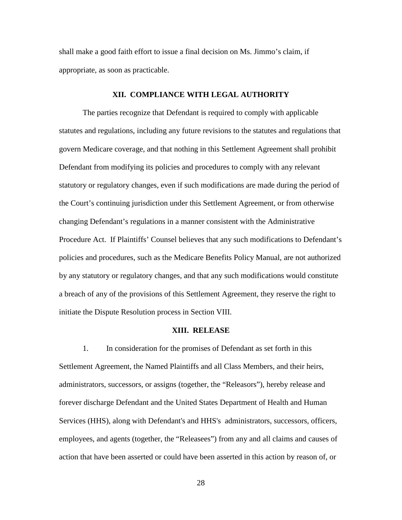shall make a good faith effort to issue a final decision on Ms. Jimmo's claim, if appropriate, as soon as practicable.

## **XII. COMPLIANCE WITH LEGAL AUTHORITY**

The parties recognize that Defendant is required to comply with applicable statutes and regulations, including any future revisions to the statutes and regulations that govern Medicare coverage, and that nothing in this Settlement Agreement shall prohibit Defendant from modifying its policies and procedures to comply with any relevant statutory or regulatory changes, even if such modifications are made during the period of the Court's continuing jurisdiction under this Settlement Agreement, or from otherwise changing Defendant's regulations in a manner consistent with the Administrative Procedure Act. If Plaintiffs' Counsel believes that any such modifications to Defendant's policies and procedures, such as the Medicare Benefits Policy Manual, are not authorized by any statutory or regulatory changes, and that any such modifications would constitute a breach of any of the provisions of this Settlement Agreement, they reserve the right to initiate the Dispute Resolution process in Section VIII.

## **XIII. RELEASE**

<span id="page-27-1"></span><span id="page-27-0"></span>1. In consideration for the promises of Defendant as set forth in this Settlement Agreement, the Named Plaintiffs and all Class Members, and their heirs, administrators, successors, or assigns (together, the "Releasors"), hereby release and forever discharge Defendant and the United States Department of Health and Human Services (HHS), along with Defendant's and HHS's administrators, successors, officers, employees, and agents (together, the "Releasees") from any and all claims and causes of action that have been asserted or could have been asserted in this action by reason of, or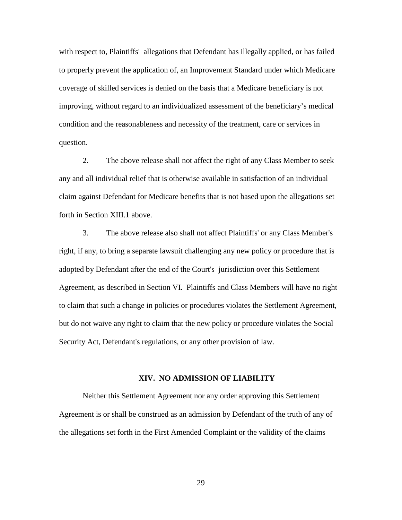with respect to, Plaintiffs' allegations that Defendant has illegally applied, or has failed to properly prevent the application of, an Improvement Standard under which Medicare coverage of skilled services is denied on the basis that a Medicare beneficiary is not improving, without regard to an individualized assessment of the beneficiary's medical condition and the reasonableness and necessity of the treatment, care or services in question.

2. The above release shall not affect the right of any Class Member to seek any and all individual relief that is otherwise available in satisfaction of an individual claim against Defendant for Medicare benefits that is not based upon the allegations set forth in Section [XIII.](#page-27-0)[1](#page-27-1) above.

3. The above release also shall not affect Plaintiffs' or any Class Member's right, if any, to bring a separate lawsuit challenging any new policy or procedure that is adopted by Defendant after the end of the Court's jurisdiction over this Settlement Agreement, as described in Section [VI.](#page-4-0) Plaintiffs and Class Members will have no right to claim that such a change in policies or procedures violates the Settlement Agreement, but do not waive any right to claim that the new policy or procedure violates the Social Security Act, Defendant's regulations, or any other provision of law.

### **XIV. NO ADMISSION OF LIABILITY**

Neither this Settlement Agreement nor any order approving this Settlement Agreement is or shall be construed as an admission by Defendant of the truth of any of the allegations set forth in the First Amended Complaint or the validity of the claims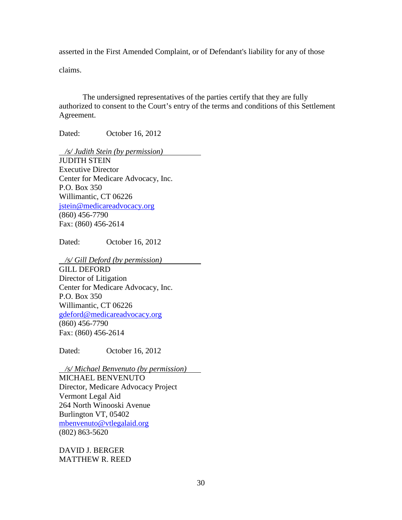asserted in the First Amended Complaint, or of Defendant's liability for any of those

claims.

 The undersigned representatives of the parties certify that they are fully authorized to consent to the Court's entry of the terms and conditions of this Settlement Agreement.

Dated: October 16, 2012

 */s/ Judith Stein (by permission)* JUDITH STEIN Executive Director Center for Medicare Advocacy, Inc. P.O. Box 350 Willimantic, CT 06226 [jstein@medicareadvocacy.org](mailto:jstein@medicareadvocacy.org)  (860) 456-7790 Fax: (860) 456-2614

Dated: October 16, 2012

*/s/ Gill Deford (by permission)*

GILL DEFORD Director of Litigation Center for Medicare Advocacy, Inc. P.O. Box 350 Willimantic, CT 06226 [gdeford@medicareadvocacy.org](mailto:gdeford@medicareadvocacy.org)  (860) 456-7790 Fax: (860) 456-2614

Dated: October 16, 2012

 */s/ Michael Benvenuto (by permission)* MICHAEL BENVENUTO Director, Medicare Advocacy Project Vermont Legal Aid 264 North Winooski Avenue Burlington VT, 05402 [mbenvenuto@vtlegalaid.org](mailto:mbenvenuto@vtlegalaid.org)  (802) 863-5620

DAVID J. BERGER MATTHEW R. REED